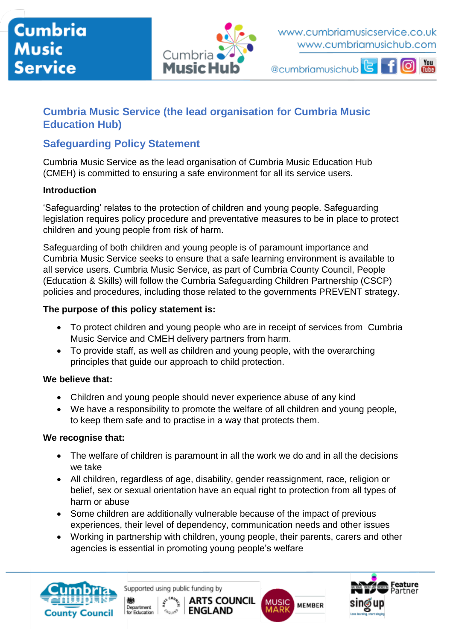## **Cumbria Music Service**



www.cumbriamusicservice.co.uk www.cumbriamusichub.com

@cumbriamusichub - 1



## **Cumbria Music Service (the lead organisation for Cumbria Music Education Hub)**

## **Safeguarding Policy Statement**

Cumbria Music Service as the lead organisation of Cumbria Music Education Hub (CMEH) is committed to ensuring a safe environment for all its service users.

#### **Introduction**

'Safeguarding' relates to the protection of children and young people. Safeguarding legislation requires policy procedure and preventative measures to be in place to protect children and young people from risk of harm.

Safeguarding of both children and young people is of paramount importance and Cumbria Music Service seeks to ensure that a safe learning environment is available to all service users. Cumbria Music Service, as part of Cumbria County Council, People (Education & Skills) will follow the Cumbria Safeguarding Children Partnership (CSCP) policies and procedures, including those related to the governments PREVENT strategy.

#### **The purpose of this policy statement is:**

- To protect children and young people who are in receipt of services from Cumbria Music Service and CMEH delivery partners from harm.
- To provide staff, as well as children and young people, with the overarching principles that guide our approach to child protection.

#### **We believe that:**

- Children and young people should never experience abuse of any kind
- We have a responsibility to promote the welfare of all children and young people, to keep them safe and to practise in a way that protects them.

#### **We recognise that:**

- The welfare of children is paramount in all the work we do and in all the decisions we take
- All children, regardless of age, disability, gender reassignment, race, religion or belief, sex or sexual orientation have an equal right to protection from all types of harm or abuse
- Some children are additionally vulnerable because of the impact of previous experiences, their level of dependency, communication needs and other issues
- Working in partnership with children, young people, their parents, carers and other agencies is essential in promoting young people's welfare



Supported using public funding by

Department<br>for Education